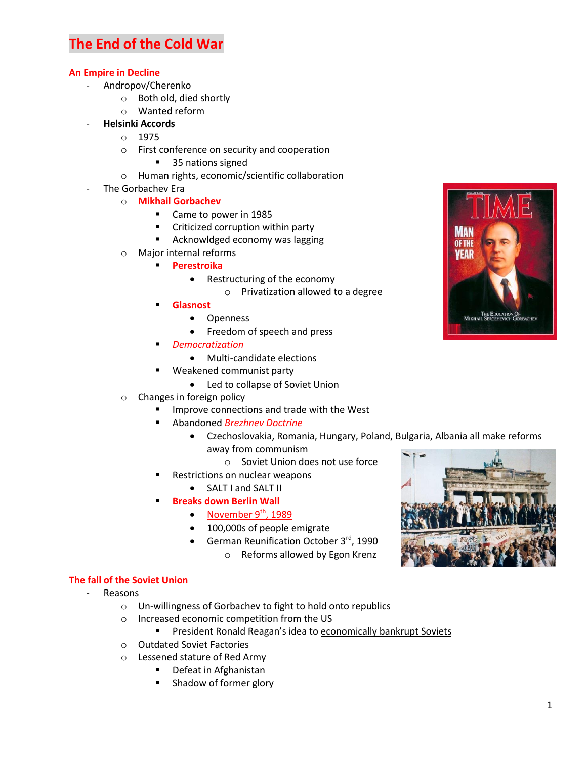# **The End of the Cold War**

## **An Empire in Decline**

- Andropov/Cherenko
	- o Both old, died shortly
	- o Wanted reform
	- **Helsinki Accords**
		- o 1975
		- o First conference on security and cooperation
			- 35 nations signed
		- o Human rights, economic/scientific collaboration
- The Gorbachev Era
	- o **Mikhail Gorbachev**
		- Came to power in 1985
		- **EXEC** Criticized corruption within party
		- **Acknowldged economy was lagging**
	- o Major internal reforms
		- **Perestroika**
			- Restructuring of the economy
				- o Privatization allowed to a degree
		- **Glasnost**
			- Openness
			- Freedom of speech and press
		- *Democratization*
			- Multi-candidate elections
		- Weakened communist party
			- Led to collapse of Soviet Union
	- o Changes in foreign policy
		- Improve connections and trade with the West
		- Abandoned *Brezhnev Doctrine*
			- Czechoslovakia, Romania, Hungary, Poland, Bulgaria, Albania all make reforms away from communism
				- o Soviet Union does not use force
		- Restrictions on nuclear weapons
			- SALT I and SALT II
		- **Breaks down Berlin Wall**
			- November  $9<sup>th</sup>$ , 1989
			- 100,000s of people emigrate
			- **German Reunification October 3<sup>rd</sup>**, 1990
				- o Reforms allowed by Egon Krenz

# **The fall of the Soviet Union**

- Reasons
	- o Un-willingness of Gorbachev to fight to hold onto republics
	- o Increased economic competition from the US
		- **President Ronald Reagan's idea to economically bankrupt Soviets**
	- o Outdated Soviet Factories
	- o Lessened stature of Red Army
		- **•** Defeat in Afghanistan
		- **Shadow of former glory**



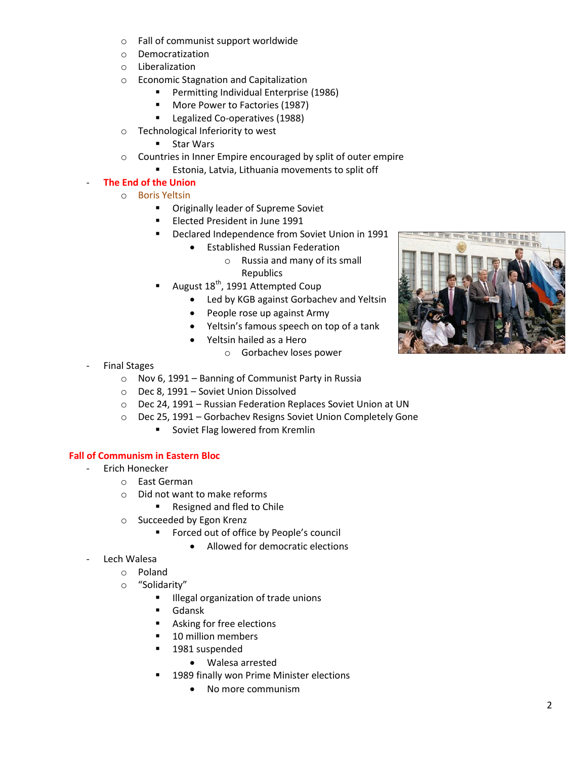- o Fall of communist support worldwide
- o Democratization
- o Liberalization
- o Economic Stagnation and Capitalization
	- **Permitting Individual Enterprise (1986)**
	- **More Power to Factories (1987)**
	- **Legalized Co-operatives (1988)**
- o Technological Inferiority to west
	- **Star Wars**
- o Countries in Inner Empire encouraged by split of outer empire
	- Estonia, Latvia, Lithuania movements to split off

## - **The End of the Union**

- o Boris Yeltsin
	- **Originally leader of Supreme Soviet**
	- **Elected President in June 1991**
	- **Declared Independence from Soviet Union in 1991** 
		- Established Russian Federation
			- o Russia and many of its small Republics
	- August 18<sup>th</sup>, 1991 Attempted Coup
		- Led by KGB against Gorbachev and Yeltsin
		- People rose up against Army
		- Yeltsin's famous speech on top of a tank
		- Yeltsin hailed as a Hero
			- o Gorbachev loses power
- **Final Stages** 
	- o Nov 6, 1991 Banning of Communist Party in Russia
	- o Dec 8, 1991 Soviet Union Dissolved
	- o Dec 24, 1991 Russian Federation Replaces Soviet Union at UN
	- o Dec 25, 1991 Gorbachev Resigns Soviet Union Completely Gone
		- Soviet Flag lowered from Kremlin

# **Fall of Communism in Eastern Bloc**

- Erich Honecker
	- o East German
	- o Did not want to make reforms
		- Resigned and fled to Chile
	- o Succeeded by Egon Krenz
		- **Forced out of office by People's council** 
			- Allowed for democratic elections
- Lech Walesa
	- o Poland
	- o "Solidarity"
		- **Illegal organization of trade unions**
		- Gdansk
		- **Asking for free elections**
		- **10 million members**
		- **1981** suspended
			- Walesa arrested
		- 1989 finally won Prime Minister elections
			- No more communism